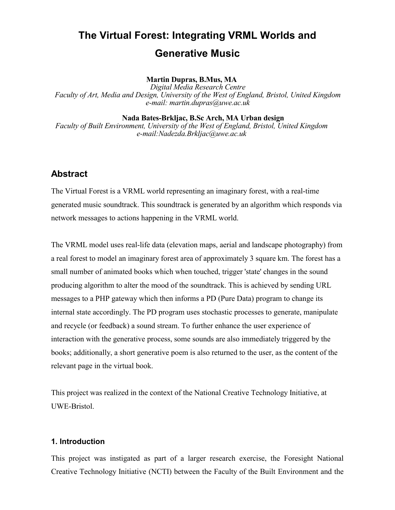# **The Virtual Forest: Integrating VRML Worlds and Generative Music**

#### **Martin Dupras, B.Mus, MA**

*Digital Media Research Centre Faculty of Art, Media and Design, University of the West of England, Bristol, United Kingdom e-mail: martin.dupras@uwe.ac.uk*

**Nada Bates-Brkljac, B.Sc Arch, MA Urban design**

*Faculty of Built Environment, University of the West of England, Bristol, United Kingdom e-mail:Nadezda.Brkljac@uwe.ac.uk*

# **Abstract**

The Virtual Forest is a VRML world representing an imaginary forest, with a real-time generated music soundtrack. This soundtrack is generated by an algorithm which responds via network messages to actions happening in the VRML world.

The VRML model uses real-life data (elevation maps, aerial and landscape photography) from a real forest to model an imaginary forest area of approximately 3 square km. The forest has a small number of animated books which when touched, trigger 'state' changes in the sound producing algorithm to alter the mood of the soundtrack. This is achieved by sending URL messages to a PHP gateway which then informs a PD (Pure Data) program to change its internal state accordingly. The PD program uses stochastic processes to generate, manipulate and recycle (or feedback) a sound stream. To further enhance the user experience of interaction with the generative process, some sounds are also immediately triggered by the books; additionally, a short generative poem is also returned to the user, as the content of the relevant page in the virtual book.

This project was realized in the context of the National Creative Technology Initiative, at UWE-Bristol.

#### **1. Introduction**

This project was instigated as part of a larger research exercise, the Foresight National Creative Technology Initiative (NCTI) between the Faculty of the Built Environment and the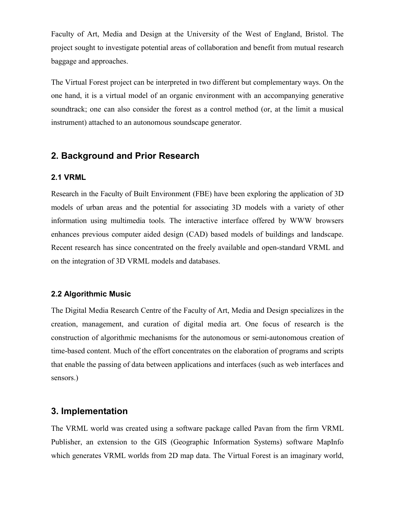Faculty of Art, Media and Design at the University of the West of England, Bristol. The project sought to investigate potential areas of collaboration and benefit from mutual research baggage and approaches.

The Virtual Forest project can be interpreted in two different but complementary ways. On the one hand, it is a virtual model of an organic environment with an accompanying generative soundtrack; one can also consider the forest as a control method (or, at the limit a musical instrument) attached to an autonomous soundscape generator.

# **2. Background and Prior Research**

#### **2.1 VRML**

Research in the Faculty of Built Environment (FBE) have been exploring the application of 3D models of urban areas and the potential for associating 3D models with a variety of other information using multimedia tools. The interactive interface offered by WWW browsers enhances previous computer aided design (CAD) based models of buildings and landscape. Recent research has since concentrated on the freely available and open-standard VRML and on the integration of 3D VRML models and databases.

## **2.2 Algorithmic Music**

The Digital Media Research Centre of the Faculty of Art, Media and Design specializes in the creation, management, and curation of digital media art. One focus of research is the construction of algorithmic mechanisms for the autonomous or semi-autonomous creation of time-based content. Much of the effort concentrates on the elaboration of programs and scripts that enable the passing of data between applications and interfaces (such as web interfaces and sensors.)

## **3. Implementation**

The VRML world was created using a software package called Pavan from the firm VRML Publisher, an extension to the GIS (Geographic Information Systems) software MapInfo which generates VRML worlds from 2D map data. The Virtual Forest is an imaginary world,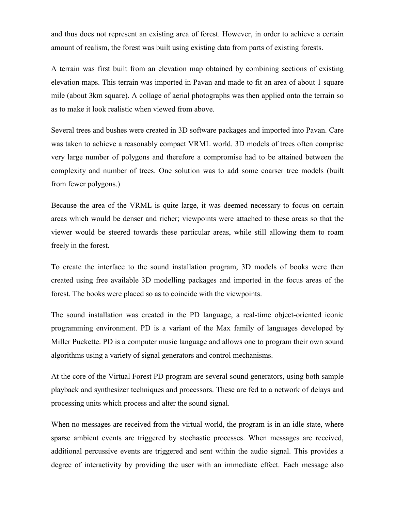and thus does not represent an existing area of forest. However, in order to achieve a certain amount of realism, the forest was built using existing data from parts of existing forests.

A terrain was first built from an elevation map obtained by combining sections of existing elevation maps. This terrain was imported in Pavan and made to fit an area of about 1 square mile (about 3km square). A collage of aerial photographs was then applied onto the terrain so as to make it look realistic when viewed from above.

Several trees and bushes were created in 3D software packages and imported into Pavan. Care was taken to achieve a reasonably compact VRML world. 3D models of trees often comprise very large number of polygons and therefore a compromise had to be attained between the complexity and number of trees. One solution was to add some coarser tree models (built from fewer polygons.)

Because the area of the VRML is quite large, it was deemed necessary to focus on certain areas which would be denser and richer; viewpoints were attached to these areas so that the viewer would be steered towards these particular areas, while still allowing them to roam freely in the forest.

To create the interface to the sound installation program, 3D models of books were then created using free available 3D modelling packages and imported in the focus areas of the forest. The books were placed so as to coincide with the viewpoints.

The sound installation was created in the PD language, a real-time object-oriented iconic programming environment. PD is a variant of the Max family of languages developed by Miller Puckette. PD is a computer music language and allows one to program their own sound algorithms using a variety of signal generators and control mechanisms.

At the core of the Virtual Forest PD program are several sound generators, using both sample playback and synthesizer techniques and processors. These are fed to a network of delays and processing units which process and alter the sound signal.

When no messages are received from the virtual world, the program is in an idle state, where sparse ambient events are triggered by stochastic processes. When messages are received, additional percussive events are triggered and sent within the audio signal. This provides a degree of interactivity by providing the user with an immediate effect. Each message also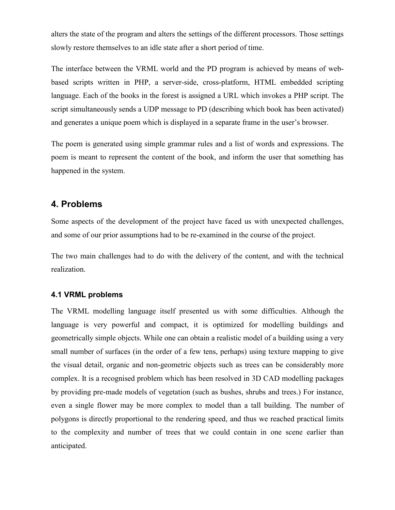alters the state of the program and alters the settings of the different processors. Those settings slowly restore themselves to an idle state after a short period of time.

The interface between the VRML world and the PD program is achieved by means of webbased scripts written in PHP, a server-side, cross-platform, HTML embedded scripting language. Each of the books in the forest is assigned a URL which invokes a PHP script. The script simultaneously sends a UDP message to PD (describing which book has been activated) and generates a unique poem which is displayed in a separate frame in the user's browser.

The poem is generated using simple grammar rules and a list of words and expressions. The poem is meant to represent the content of the book, and inform the user that something has happened in the system.

# **4. Problems**

Some aspects of the development of the project have faced us with unexpected challenges, and some of our prior assumptions had to be re-examined in the course of the project.

The two main challenges had to do with the delivery of the content, and with the technical realization.

## **4.1 VRML problems**

The VRML modelling language itself presented us with some difficulties. Although the language is very powerful and compact, it is optimized for modelling buildings and geometrically simple objects. While one can obtain a realistic model of a building using a very small number of surfaces (in the order of a few tens, perhaps) using texture mapping to give the visual detail, organic and non-geometric objects such as trees can be considerably more complex. It is a recognised problem which has been resolved in 3D CAD modelling packages by providing pre-made models of vegetation (such as bushes, shrubs and trees.) For instance, even a single flower may be more complex to model than a tall building. The number of polygons is directly proportional to the rendering speed, and thus we reached practical limits to the complexity and number of trees that we could contain in one scene earlier than anticipated.